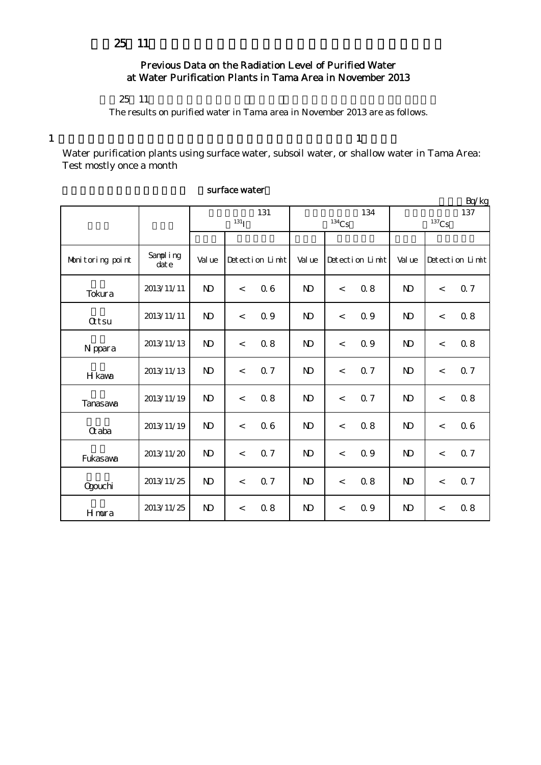# Previous Data on the Radiation Level of Purified Water at Water Purification Plants in Tama Area in November 2013

### $25 \t11$

The results on purified water in Tama area in November 2013 are as follows.

 $1$ 

Water purification plants using surface water, subsoil water, or shallow water in Tama Area: Test mostly once a month

|                  |                      |                           |                 | Bq/kg |                 |                 |     |                            |                          |                 |
|------------------|----------------------|---------------------------|-----------------|-------|-----------------|-----------------|-----|----------------------------|--------------------------|-----------------|
|                  |                      | 131<br>$131$ <sup>T</sup> |                 |       | 134<br>$134$ Cs |                 |     | 137<br>$^{137}\mathrm{Cs}$ |                          |                 |
|                  |                      |                           |                 |       |                 |                 |     |                            |                          |                 |
| Monitoring point | Sampling<br>$\det e$ | Val ue                    | Detection Limit |       | Val ue          | Detection Limit |     | Val ue                     |                          | Detection Limit |
| Tokura           | 2013/11/11           | $\mathbf{D}$              | $\lt$           | 06    | $\mathbf{D}$    | $\prec$         | 0.8 | $\mathbf{D}$               | $\overline{\phantom{a}}$ | Q 7             |
| $Q$ tsu          | 2013/11/11           | $\mathbf{D}$              | $\prec$         | 0.9   | $\mathbf{D}$    | $\prec$         | Q 9 | $\mathbf{D}$               | $\prec$                  | 0.8             |
| N ppara          | 2013/11/13           | $\mathbf{D}$              | $\,<$           | 0.8   | $\mathbf{N}$    | $\prec$         | 0.9 | $\mathbf{D}$               | $\overline{\phantom{a}}$ | 0.8             |
| H kawa           | 2013/11/13           | $\mathbf{N}$              | $\prec$         | 0.7   | $\mathbf{N}$    | $\prec$         | 0.7 | $\mathbf{D}$               | $\lt$                    | 0.7             |
| <b>Tanasaya</b>  | 2013/11/19           | $\mathbf{N}$              | $\,<$           | 08    | N <sub>D</sub>  | $\lt$           | 0.7 | N <sub>D</sub>             | $\,<$                    | 0.8             |
| <b>G</b> aba     | 2013/11/19           | $\mathbf{N}$              | $\,<$           | 06    | $\mathbf{D}$    | $\prec$         | 0.8 | $\mathbf{D}$               | $\overline{\phantom{a}}$ | 06              |
| Fukasawa         | 2013/11/20           | $\mathbf{D}$              | $\prec$         | 0.7   | $\mathbf{N}$    | $\prec$         | Q 9 | N <sub>D</sub>             | $\lt$                    | 07              |
| <b>Ogouchi</b>   | 2013/11/25           | $\mathbf{D}$              | $\,<$           | 0.7   | N <sub>D</sub>  | $\,<$           | 0.8 | N <sub>D</sub>             | $\,<$                    | 07              |
| Hmura            | 2013/11/25           | $\mathbf{D}$              | $\,<$           | 08    | $\mathbf{D}$    | $\,<$           | 0.9 | N <sub>D</sub>             | $\,<$                    | 0.8             |

### surface water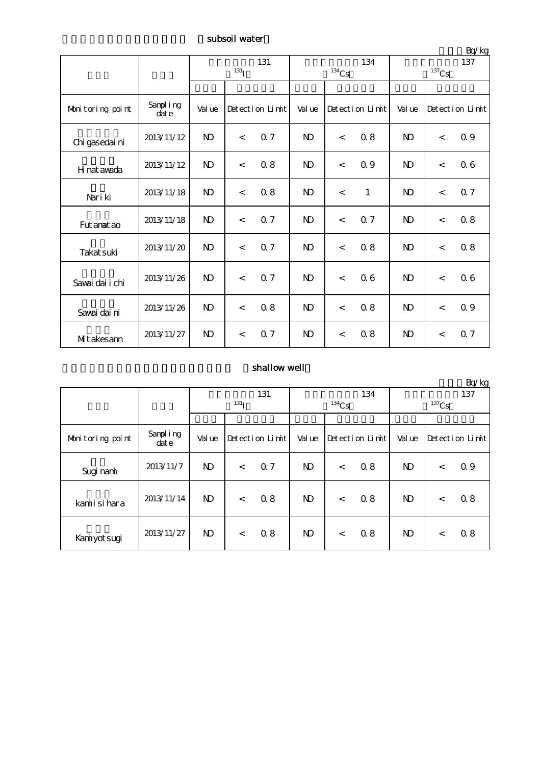subsoil water

|                  |                  |                    |                |                 |                     |         |                 |                     |                          | Bq/kg           |  |
|------------------|------------------|--------------------|----------------|-----------------|---------------------|---------|-----------------|---------------------|--------------------------|-----------------|--|
|                  |                  | 131                |                |                 |                     |         | 134             | 137                 |                          |                 |  |
|                  |                  | $131$ <sup>T</sup> |                |                 | $^{134}\mathrm{Cs}$ |         |                 | $^{137}\mathrm{Cs}$ |                          |                 |  |
|                  |                  |                    |                |                 |                     |         |                 |                     |                          |                 |  |
| Monitoring point | Sampling<br>date | Value              |                | Detection Limit | Val ue              |         | Detection Limit | Val ue              |                          | Detection Limit |  |
| Chi gasedai ni   | 2013/11/12       | $\mathbf{N}$       | $\lt$          | 0.7             | <b>N</b>            | $\lt$   | 0.8             | N <sub>D</sub>      | $\lt$                    | 0.9             |  |
| H nat awada      | 2013/11/12       | $\mathbf{D}$       | $\,<$          | 0.8             | $\mathbf{D}$        | $\,<$   | 0.9             | $\mathbf{D}$        | $\lt$                    | 06              |  |
| Nari ki          | 2013/11/18       | $\mathbf{N}$       | $\,<$          | 0.8             | N <sub>D</sub>      | $\prec$ | $\mathbf{1}$    | N <sub>D</sub>      | $\overline{\phantom{a}}$ | 0.7             |  |
| Fut anat ao      | 2013/11/18       | $\mathbf{D}$       | $\,<$          | Q <sub>7</sub>  | <b>N</b>            | $\prec$ | 0.7             | ND                  | $\lt$                    | 0.8             |  |
| Takat suki       | 2013/11/20       | $\mathbf{D}$       | $\,<\,$        | 0.7             | <b>N</b>            | $\,<$   | 0.8             | <b>N</b>            | $\lt$                    | 08              |  |
| Savai dai i chi  | 2013/11/26       | $\mathbf{D}$       | $\overline{<}$ | 0.7             | <b>N</b>            | $\lt$   | 06              | <b>N</b>            | $\lt$                    | 06              |  |
| Savai dai ni     | 2013/11/26       | $\mathbf{D}$       | $\,<\,$        | 0.8             | $\mathbf{D}$        | $\,<$   | 0.8             | $\mathbf{N}$        | $\lt$                    | 0.9             |  |
| MItakesann       | 2013/11/27       | N <sub>D</sub>     | $\,<\,$        | 0.7             | <b>N</b>            | $\lt$   | 0.8             | N <sub>D</sub>      | $\lt$                    | 0.7             |  |

## shallow well

|                  |                      |                         |       |                 |              |          |                 |                              |         | Bq/kg           |
|------------------|----------------------|-------------------------|-------|-----------------|--------------|----------|-----------------|------------------------------|---------|-----------------|
|                  |                      | 131<br>131 <sub>l</sub> |       |                 |              | $134$ Cs | 134             | 137<br>${}^{137}\mathrm{Cs}$ |         |                 |
|                  |                      |                         |       |                 |              |          |                 |                              |         |                 |
| Monitoring point | Sampling<br>$\det e$ | Val ue                  |       | Detection Limit | Val ue       |          | Detection Limit | Value                        |         | Detection Limit |
| Sugi nami        | 2013/11/7            | $\mathbf{D}$            | $\,<$ | 0.7             | $\mathbf{D}$ | $\,<$    | 0.8             | N)                           | $\,<\,$ | 0.9             |
| kamiisihara      | 2013/11/14           | $\mathbf{D}$            | $\,<$ | 0.8             | ND           | $\,<$    | 0.8             | N)                           | $\,<\,$ | 08              |
| Kaniyot sugi     | 2013/11/27           | $\mathbf{D}$            | $\,<$ | 0.8             | $\mathbf{D}$ | $\lt$    | 0.8             | N)                           | $\,<\,$ | 0.8             |